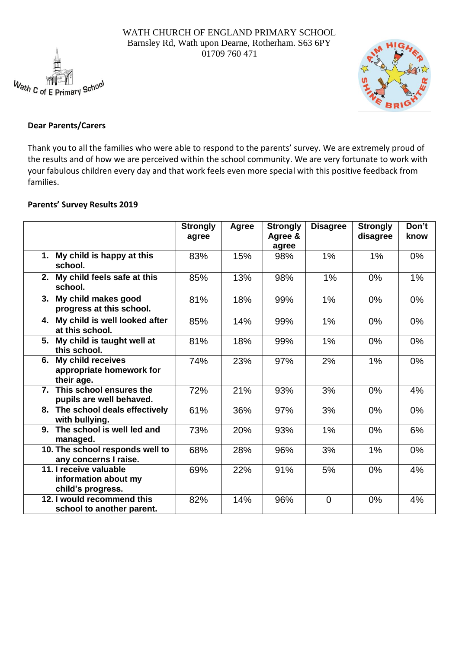



## **Dear Parents/Carers**

Thank you to all the families who were able to respond to the parents' survey. We are extremely proud of the results and of how we are perceived within the school community. We are very fortunate to work with your fabulous children every day and that work feels even more special with this positive feedback from families.

## **Parents' Survey Results 2019**

|                                                                     | <b>Strongly</b><br>agree | Agree | <b>Strongly</b><br>Agree &<br>agree | <b>Disagree</b> | <b>Strongly</b><br>disagree | Don't<br>know |
|---------------------------------------------------------------------|--------------------------|-------|-------------------------------------|-----------------|-----------------------------|---------------|
| 1. My child is happy at this<br>school.                             | 83%                      | 15%   | 98%                                 | 1%              | 1%                          | $0\%$         |
| My child feels safe at this<br>2.<br>school.                        | 85%                      | 13%   | 98%                                 | 1%              | 0%                          | 1%            |
| My child makes good<br>3.<br>progress at this school.               | 81%                      | 18%   | 99%                                 | 1%              | 0%                          | 0%            |
| My child is well looked after<br>4.<br>at this school.              | 85%                      | 14%   | 99%                                 | 1%              | 0%                          | 0%            |
| My child is taught well at<br>5.<br>this school.                    | 81%                      | 18%   | 99%                                 | 1%              | 0%                          | 0%            |
| My child receives<br>6.<br>appropriate homework for<br>their age.   | 74%                      | 23%   | 97%                                 | 2%              | 1%                          | 0%            |
| 7. This school ensures the<br>pupils are well behaved.              | 72%                      | 21%   | 93%                                 | 3%              | 0%                          | 4%            |
| 8. The school deals effectively<br>with bullying.                   | 61%                      | 36%   | 97%                                 | 3%              | 0%                          | $0\%$         |
| 9. The school is well led and<br>managed.                           | 73%                      | 20%   | 93%                                 | 1%              | 0%                          | 6%            |
| 10. The school responds well to<br>any concerns I raise.            | 68%                      | 28%   | 96%                                 | 3%              | 1%                          | $0\%$         |
| 11. I receive valuable<br>information about my<br>child's progress. | 69%                      | 22%   | 91%                                 | 5%              | 0%                          | 4%            |
| 12. I would recommend this<br>school to another parent.             | 82%                      | 14%   | 96%                                 | $\overline{0}$  | 0%                          | 4%            |